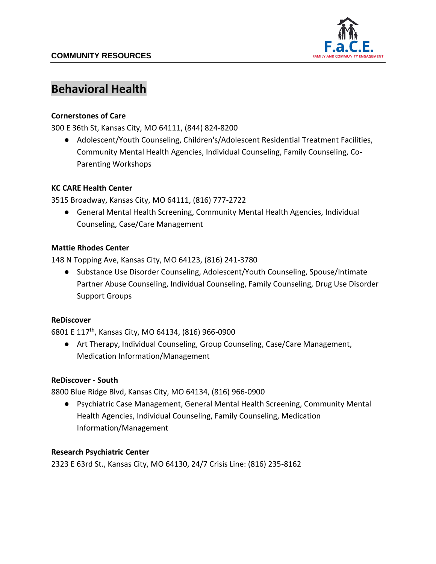

# **Behavioral Health**

## **Cornerstones of Care**

300 E 36th St, Kansas City, MO 64111, (844) 824-8200

● Adolescent/Youth Counseling, Children's/Adolescent Residential Treatment Facilities, Community Mental Health Agencies, Individual Counseling, Family Counseling, Co-Parenting Workshops

## **KC CARE Health Center**

3515 Broadway, Kansas City, MO 64111, (816) 777-2722

● General Mental Health Screening, Community Mental Health Agencies, Individual Counseling, Case/Care Management

## **Mattie Rhodes Center**

148 N Topping Ave, Kansas City, MO 64123, (816) 241-3780

● Substance Use Disorder Counseling, Adolescent/Youth Counseling, Spouse/Intimate Partner Abuse Counseling, Individual Counseling, Family Counseling, Drug Use Disorder Support Groups

#### **ReDiscover**

6801 E 117th, Kansas City, MO 64134, (816) 966-0900

● Art Therapy, Individual Counseling, Group Counseling, Case/Care Management, Medication Information/Management

#### **ReDiscover - South**

8800 Blue Ridge Blvd, Kansas City, MO 64134, (816) 966-0900

● Psychiatric Case Management, General Mental Health Screening, Community Mental Health Agencies, Individual Counseling, Family Counseling, Medication Information/Management

#### **Research Psychiatric Center**

2323 E 63rd St., Kansas City, MO 64130, 24/7 Crisis Line: (816) 235-8162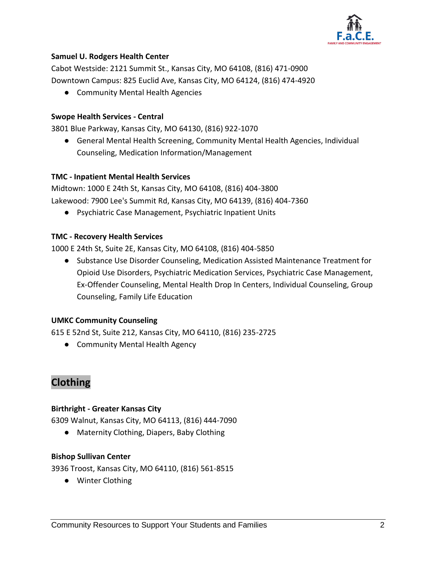

## **Samuel U. Rodgers Health Center**

Cabot Westside: 2121 Summit St., Kansas City, MO 64108, (816) 471-0900 Downtown Campus: 825 Euclid Ave, Kansas City, MO 64124, (816) 474-4920

● Community Mental Health Agencies

#### **Swope Health Services - Central**

3801 Blue Parkway, Kansas City, MO 64130, (816) 922-1070

● General Mental Health Screening, Community Mental Health Agencies, Individual Counseling, Medication Information/Management

#### **TMC - Inpatient Mental Health Services**

Midtown: 1000 E 24th St, Kansas City, MO 64108, (816) 404-3800 Lakewood: 7900 Lee's Summit Rd, Kansas City, MO 64139, (816) 404-7360

● Psychiatric Case Management, Psychiatric Inpatient Units

#### **TMC - Recovery Health Services**

1000 E 24th St, Suite 2E, Kansas City, MO 64108, (816) 404-5850

● Substance Use Disorder Counseling, Medication Assisted Maintenance Treatment for Opioid Use Disorders, Psychiatric Medication Services, Psychiatric Case Management, Ex-Offender Counseling, Mental Health Drop In Centers, Individual Counseling, Group Counseling, Family Life Education

#### **UMKC Community Counseling**

615 E 52nd St, Suite 212, Kansas City, MO 64110, (816) 235-2725

● Community Mental Health Agency

# **Clothing**

#### **Birthright - Greater Kansas City**

6309 Walnut, Kansas City, MO 64113, (816) 444-7090

● Maternity Clothing, Diapers, Baby Clothing

#### **Bishop Sullivan Center**

3936 Troost, Kansas City, MO 64110, (816) 561-8515

● Winter Clothing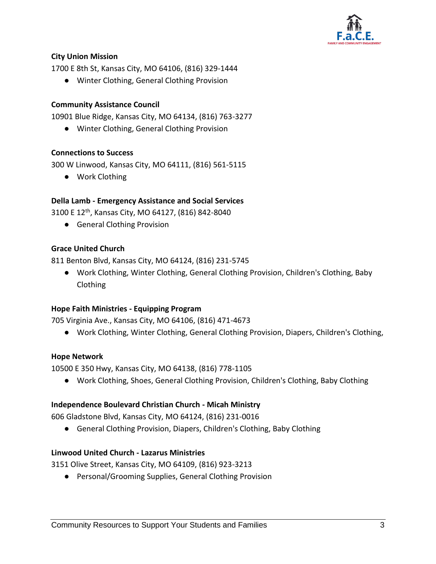

## **City Union Mission**

1700 E 8th St, Kansas City, MO 64106, (816) 329-1444

● Winter Clothing, General Clothing Provision

## **Community Assistance Council**

10901 Blue Ridge, Kansas City, MO 64134, (816) 763-3277

● Winter Clothing, General Clothing Provision

## **Connections to Success**

300 W Linwood, Kansas City, MO 64111, (816) 561-5115

● Work Clothing

## **Della Lamb - Emergency Assistance and Social Services**

3100 E 12th, Kansas City, MO 64127, (816) 842-8040

● General Clothing Provision

## **Grace United Church**

811 Benton Blvd, Kansas City, MO 64124, (816) 231-5745

● Work Clothing, Winter Clothing, General Clothing Provision, Children's Clothing, Baby Clothing

## **Hope Faith Ministries - Equipping Program**

705 Virginia Ave., Kansas City, MO 64106, (816) 471-4673

● Work Clothing, Winter Clothing, General Clothing Provision, Diapers, Children's Clothing,

## **Hope Network**

10500 E 350 Hwy, Kansas City, MO 64138, (816) 778-1105

● Work Clothing, Shoes, General Clothing Provision, Children's Clothing, Baby Clothing

## **Independence Boulevard Christian Church - Micah Ministry**

606 Gladstone Blvd, Kansas City, MO 64124, (816) 231-0016

● General Clothing Provision, Diapers, Children's Clothing, Baby Clothing

## **Linwood United Church - Lazarus Ministries**

3151 Olive Street, Kansas City, MO 64109, (816) 923-3213

● Personal/Grooming Supplies, General Clothing Provision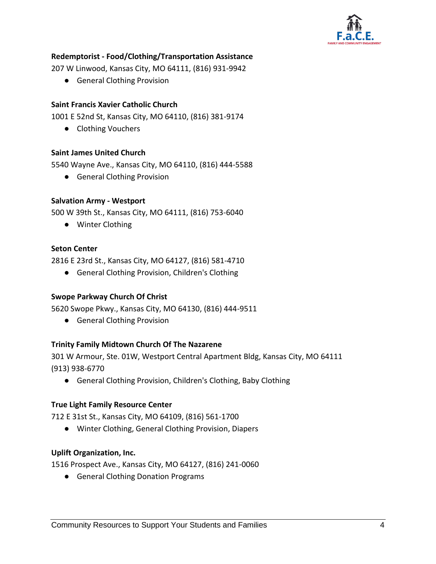

## **Redemptorist - Food/Clothing/Transportation Assistance**

207 W Linwood, Kansas City, MO 64111, (816) 931-9942

● General Clothing Provision

#### **Saint Francis Xavier Catholic Church**

1001 E 52nd St, Kansas City, MO 64110, (816) 381-9174

● Clothing Vouchers

#### **Saint James United Church**

5540 Wayne Ave., Kansas City, MO 64110, (816) 444-5588

● General Clothing Provision

#### **Salvation Army - Westport**

500 W 39th St., Kansas City, MO 64111, (816) 753-6040

● Winter Clothing

#### **Seton Center**

2816 E 23rd St., Kansas City, MO 64127, (816) 581-4710

● General Clothing Provision, Children's Clothing

#### **Swope Parkway Church Of Christ**

5620 Swope Pkwy., Kansas City, MO 64130, (816) 444-9511

● General Clothing Provision

#### **Trinity Family Midtown Church Of The Nazarene**

301 W Armour, Ste. 01W, Westport Central Apartment Bldg, Kansas City, MO 64111 (913) 938-6770

● General Clothing Provision, Children's Clothing, Baby Clothing

#### **True Light Family Resource Center**

712 E 31st St., Kansas City, MO 64109, (816) 561-1700

● Winter Clothing, General Clothing Provision, Diapers

#### **Uplift Organization, Inc.**

1516 Prospect Ave., Kansas City, MO 64127, (816) 241-0060

● General Clothing Donation Programs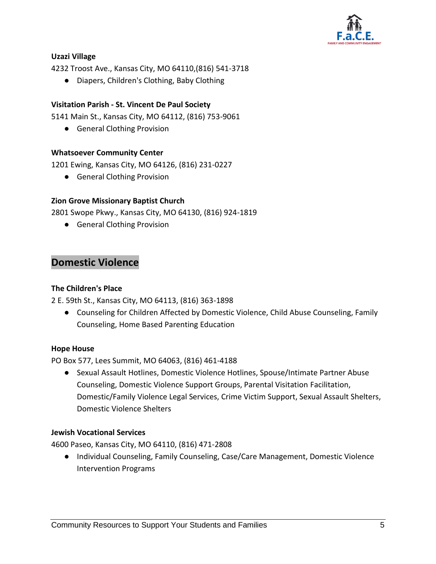

## **Uzazi Village**

4232 Troost Ave., Kansas City, MO 64110,(816) 541-3718

● Diapers, Children's Clothing, Baby Clothing

## **Visitation Parish - St. Vincent De Paul Society**

5141 Main St., Kansas City, MO 64112, (816) 753-9061

● General Clothing Provision

## **Whatsoever Community Center**

1201 Ewing, Kansas City, MO 64126, (816) 231-0227

● General Clothing Provision

## **Zion Grove Missionary Baptist Church**

2801 Swope Pkwy., Kansas City, MO 64130, (816) 924-1819

● General Clothing Provision

# **Domestic Violence**

## **The Children's Place**

2 E. 59th St., Kansas City, MO 64113, (816) 363-1898

● Counseling for Children Affected by Domestic Violence, Child Abuse Counseling, Family Counseling, Home Based Parenting Education

## **Hope House**

PO Box 577, Lees Summit, MO 64063, (816) 461-4188

● Sexual Assault Hotlines, Domestic Violence Hotlines, Spouse/Intimate Partner Abuse Counseling, Domestic Violence Support Groups, Parental Visitation Facilitation, Domestic/Family Violence Legal Services, Crime Victim Support, Sexual Assault Shelters, Domestic Violence Shelters

## **Jewish Vocational Services**

4600 Paseo, Kansas City, MO 64110, (816) 471-2808

● Individual Counseling, Family Counseling, Case/Care Management, Domestic Violence Intervention Programs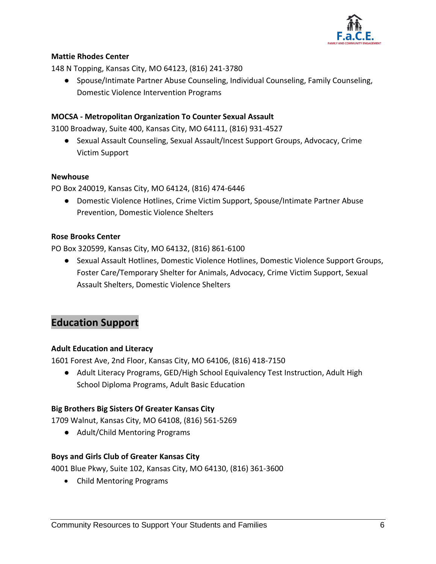

## **Mattie Rhodes Center**

148 N Topping, Kansas City, MO 64123, (816) 241-3780

● Spouse/Intimate Partner Abuse Counseling, Individual Counseling, Family Counseling, Domestic Violence Intervention Programs

## **MOCSA - Metropolitan Organization To Counter Sexual Assault**

3100 Broadway, Suite 400, Kansas City, MO 64111, (816) 931-4527

● Sexual Assault Counseling, Sexual Assault/Incest Support Groups, Advocacy, Crime Victim Support

#### **Newhouse**

PO Box 240019, Kansas City, MO 64124, (816) 474-6446

● Domestic Violence Hotlines, Crime Victim Support, Spouse/Intimate Partner Abuse Prevention, Domestic Violence Shelters

## **Rose Brooks Center**

PO Box 320599, Kansas City, MO 64132, (816) 861-6100

● Sexual Assault Hotlines, Domestic Violence Hotlines, Domestic Violence Support Groups, Foster Care/Temporary Shelter for Animals, Advocacy, Crime Victim Support, Sexual Assault Shelters, Domestic Violence Shelters

# **Education Support**

## **Adult Education and Literacy**

1601 Forest Ave, 2nd Floor, Kansas City, MO 64106, (816) 418-7150

● Adult Literacy Programs, GED/High School Equivalency Test Instruction, Adult High School Diploma Programs, Adult Basic Education

## **Big Brothers Big Sisters Of Greater Kansas City**

1709 Walnut, Kansas City, MO 64108, (816) 561-5269

● Adult/Child Mentoring Programs

## **Boys and Girls Club of Greater Kansas City**

4001 Blue Pkwy, Suite 102, Kansas City, MO 64130, (816) 361-3600

Child Mentoring Programs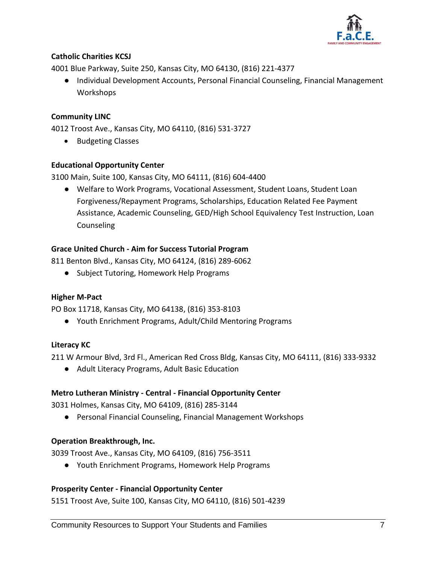

## **Catholic Charities KCSJ**

4001 Blue Parkway, Suite 250, Kansas City, MO 64130, (816) 221-4377

● Individual Development Accounts, Personal Financial Counseling, Financial Management Workshops

## **Community LINC**

4012 Troost Ave., Kansas City, MO 64110, (816) 531-3727

• Budgeting Classes

## **Educational Opportunity Center**

3100 Main, Suite 100, Kansas City, MO 64111, (816) 604-4400

● Welfare to Work Programs, Vocational Assessment, Student Loans, Student Loan Forgiveness/Repayment Programs, Scholarships, Education Related Fee Payment Assistance, Academic Counseling, GED/High School Equivalency Test Instruction, Loan Counseling

## **Grace United Church - Aim for Success Tutorial Program**

811 Benton Blvd., Kansas City, MO 64124, (816) 289-6062

● Subject Tutoring, Homework Help Programs

## **Higher M-Pact**

PO Box 11718, Kansas City, MO 64138, (816) 353-8103

● Youth Enrichment Programs, Adult/Child Mentoring Programs

## **Literacy KC**

211 W Armour Blvd, 3rd Fl., American Red Cross Bldg, Kansas City, MO 64111, (816) 333-9332

● Adult Literacy Programs, Adult Basic Education

## **Metro Lutheran Ministry - Central - Financial Opportunity Center**

3031 Holmes, Kansas City, MO 64109, (816) 285-3144

● Personal Financial Counseling, Financial Management Workshops

## **Operation Breakthrough, Inc.**

3039 Troost Ave., Kansas City, MO 64109, (816) 756-3511

● Youth Enrichment Programs, Homework Help Programs

## **Prosperity Center - Financial Opportunity Center**

5151 Troost Ave, Suite 100, Kansas City, MO 64110, (816) 501-4239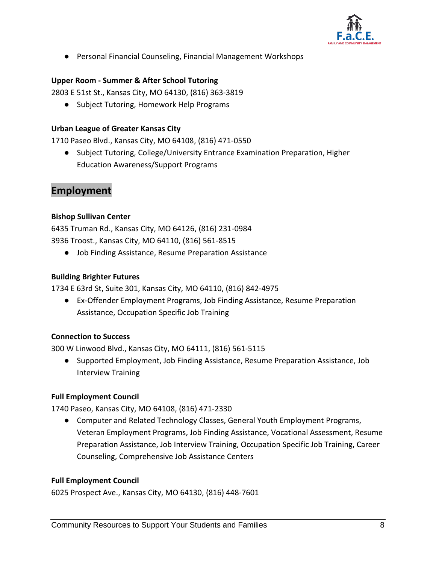

● Personal Financial Counseling, Financial Management Workshops

## **Upper Room - Summer & After School Tutoring**

2803 E 51st St., Kansas City, MO 64130, (816) 363-3819

● Subject Tutoring, Homework Help Programs

#### **Urban League of Greater Kansas City**

1710 Paseo Blvd., Kansas City, MO 64108, (816) 471-0550

● Subject Tutoring, College/University Entrance Examination Preparation, Higher Education Awareness/Support Programs

# **Employment**

## **Bishop Sullivan Center**

6435 Truman Rd., Kansas City, MO 64126, (816) 231-0984 3936 Troost., Kansas City, MO 64110, (816) 561-8515

● Job Finding Assistance, Resume Preparation Assistance

## **Building Brighter Futures**

1734 E 63rd St, Suite 301, Kansas City, MO 64110, (816) 842-4975

● Ex-Offender Employment Programs, Job Finding Assistance, Resume Preparation Assistance, Occupation Specific Job Training

## **Connection to Success**

300 W Linwood Blvd., Kansas City, MO 64111, (816) 561-5115

● Supported Employment, Job Finding Assistance, Resume Preparation Assistance, Job Interview Training

## **Full Employment Council**

1740 Paseo, Kansas City, MO 64108, (816) 471-2330

● Computer and Related Technology Classes, General Youth Employment Programs, Veteran Employment Programs, Job Finding Assistance, Vocational Assessment, Resume Preparation Assistance, Job Interview Training, Occupation Specific Job Training, Career Counseling, Comprehensive Job Assistance Centers

#### **Full Employment Council**

6025 Prospect Ave., Kansas City, MO 64130, (816) 448-7601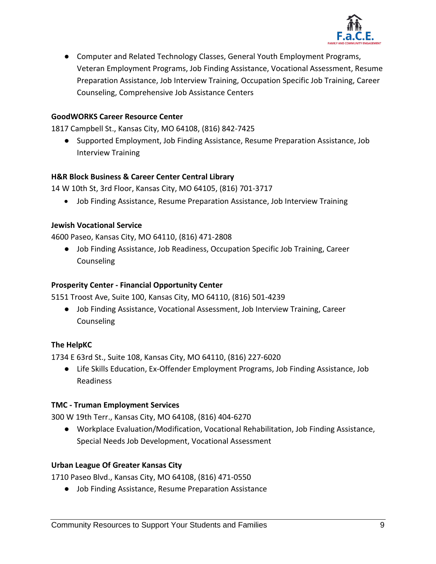

● Computer and Related Technology Classes, General Youth Employment Programs, Veteran Employment Programs, Job Finding Assistance, Vocational Assessment, Resume Preparation Assistance, Job Interview Training, Occupation Specific Job Training, Career Counseling, Comprehensive Job Assistance Centers

## **GoodWORKS Career Resource Center**

1817 Campbell St., Kansas City, MO 64108, (816) 842-7425

● Supported Employment, Job Finding Assistance, Resume Preparation Assistance, Job Interview Training

#### **H&R Block Business & Career Center Central Library**

14 W 10th St, 3rd Floor, Kansas City, MO 64105, (816) 701-3717

Job Finding Assistance, Resume Preparation Assistance, Job Interview Training

#### **Jewish Vocational Service**

4600 Paseo, Kansas City, MO 64110, (816) 471-2808

● Job Finding Assistance, Job Readiness, Occupation Specific Job Training, Career Counseling

#### **Prosperity Center - Financial Opportunity Center**

5151 Troost Ave, Suite 100, Kansas City, MO 64110, (816) 501-4239

● Job Finding Assistance, Vocational Assessment, Job Interview Training, Career Counseling

#### **The HelpKC**

1734 E 63rd St., Suite 108, Kansas City, MO 64110, (816) 227-6020

● Life Skills Education, Ex-Offender Employment Programs, Job Finding Assistance, Job Readiness

#### **TMC - Truman Employment Services**

300 W 19th Terr., Kansas City, MO 64108, (816) 404-6270

● Workplace Evaluation/Modification, Vocational Rehabilitation, Job Finding Assistance, Special Needs Job Development, Vocational Assessment

#### **Urban League Of Greater Kansas City**

1710 Paseo Blvd., Kansas City, MO 64108, (816) 471-0550

● Job Finding Assistance, Resume Preparation Assistance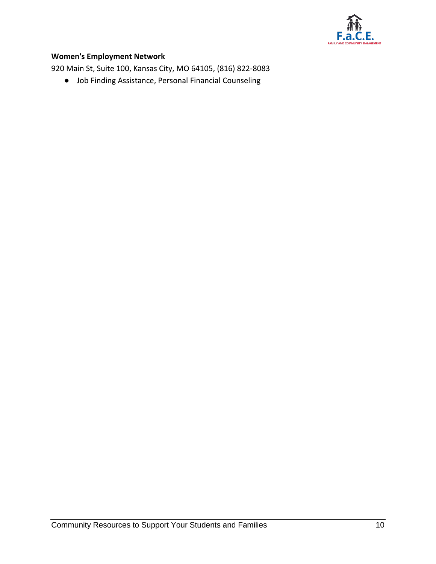

## **Women's Employment Network**

920 Main St, Suite 100, Kansas City, MO 64105, (816) 822-8083

● Job Finding Assistance, Personal Financial Counseling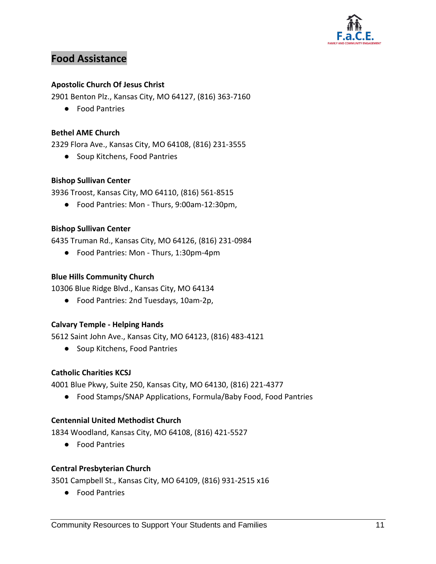

# **Food Assistance**

## **Apostolic Church Of Jesus Christ**

2901 Benton Plz., Kansas City, MO 64127, (816) 363-7160

● Food Pantries

## **Bethel AME Church**

2329 Flora Ave., Kansas City, MO 64108, (816) 231-3555

● Soup Kitchens, Food Pantries

## **Bishop Sullivan Center**

3936 Troost, Kansas City, MO 64110, (816) 561-8515

● Food Pantries: Mon - Thurs, 9:00am-12:30pm,

## **Bishop Sullivan Center**

6435 Truman Rd., Kansas City, MO 64126, (816) 231-0984

● Food Pantries: Mon - Thurs, 1:30pm-4pm

#### **Blue Hills Community Church**

10306 Blue Ridge Blvd., Kansas City, MO 64134

● Food Pantries: 2nd Tuesdays, 10am-2p,

## **Calvary Temple - Helping Hands**

5612 Saint John Ave., Kansas City, MO 64123, (816) 483-4121

● Soup Kitchens, Food Pantries

## **Catholic Charities KCSJ**

4001 Blue Pkwy, Suite 250, Kansas City, MO 64130, (816) 221-4377

● Food Stamps/SNAP Applications, Formula/Baby Food, Food Pantries

#### **Centennial United Methodist Church**

1834 Woodland, Kansas City, MO 64108, (816) 421-5527

● Food Pantries

#### **Central Presbyterian Church**

3501 Campbell St., Kansas City, MO 64109, (816) 931-2515 x16

● Food Pantries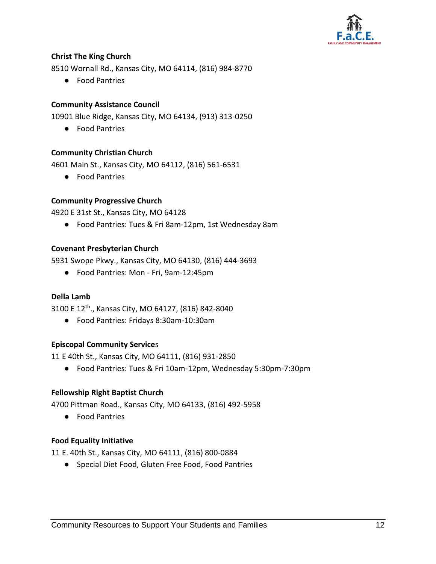

## **Christ The King Church**

8510 Wornall Rd., Kansas City, MO 64114, (816) 984-8770

● Food Pantries

## **Community Assistance Council**

10901 Blue Ridge, Kansas City, MO 64134, (913) 313-0250

● Food Pantries

## **Community Christian Church**

4601 Main St., Kansas City, MO 64112, (816) 561-6531

● Food Pantries

## **Community Progressive Church**

4920 E 31st St., Kansas City, MO 64128

● Food Pantries: Tues & Fri 8am-12pm, 1st Wednesday 8am

## **Covenant Presbyterian Church**

5931 Swope Pkwy., Kansas City, MO 64130, (816) 444-3693

● Food Pantries: Mon - Fri, 9am-12:45pm

#### **Della Lamb**

3100 E 12th ., Kansas City, MO 64127, (816) 842-8040

● Food Pantries: Fridays 8:30am-10:30am

## **Episcopal Community Service**s

11 E 40th St., Kansas City, MO 64111, (816) 931-2850

● Food Pantries: Tues & Fri 10am-12pm, Wednesday 5:30pm-7:30pm

## **Fellowship Right Baptist Church**

4700 Pittman Road., Kansas City, MO 64133, (816) 492-5958

● Food Pantries

## **Food Equality Initiative**

11 E. 40th St., Kansas City, MO 64111, (816) 800-0884

● Special Diet Food, Gluten Free Food, Food Pantries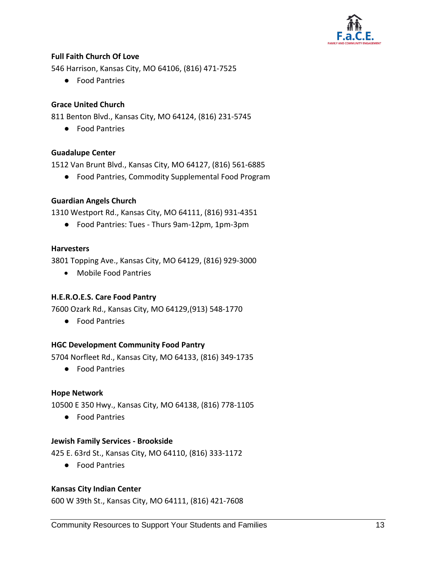

## **Full Faith Church Of Love**

546 Harrison, Kansas City, MO 64106, (816) 471-7525

● Food Pantries

## **Grace United Church**

811 Benton Blvd., Kansas City, MO 64124, (816) 231-5745

● Food Pantries

## **Guadalupe Center**

1512 Van Brunt Blvd., Kansas City, MO 64127, (816) 561-6885

● Food Pantries, Commodity Supplemental Food Program

## **Guardian Angels Church**

1310 Westport Rd., Kansas City, MO 64111, (816) 931-4351

● Food Pantries: Tues - Thurs 9am-12pm, 1pm-3pm

#### **Harvesters**

3801 Topping Ave., Kansas City, MO 64129, (816) 929-3000

Mobile Food Pantries

#### **H.E.R.O.E.S. Care Food Pantry**

7600 Ozark Rd., Kansas City, MO 64129,(913) 548-1770

● Food Pantries

## **HGC Development Community Food Pantry**

5704 Norfleet Rd., Kansas City, MO 64133, (816) 349-1735

● Food Pantries

#### **Hope Network**

10500 E 350 Hwy., Kansas City, MO 64138, (816) 778-1105

● Food Pantries

#### **Jewish Family Services - Brookside**

425 E. 63rd St., Kansas City, MO 64110, (816) 333-1172

● Food Pantries

#### **Kansas City Indian Center**

600 W 39th St., Kansas City, MO 64111, (816) 421-7608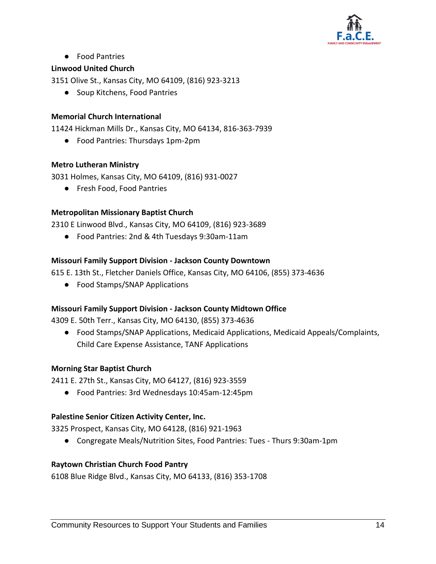

● Food Pantries

## **Linwood United Church**

3151 Olive St., Kansas City, MO 64109, (816) 923-3213

● Soup Kitchens, Food Pantries

## **Memorial Church International**

11424 Hickman Mills Dr., Kansas City, MO 64134, 816-363-7939

● Food Pantries: Thursdays 1pm-2pm

## **Metro Lutheran Ministry**

3031 Holmes, Kansas City, MO 64109, (816) 931-0027

● Fresh Food, Food Pantries

## **Metropolitan Missionary Baptist Church**

2310 E Linwood Blvd., Kansas City, MO 64109, (816) 923-3689

● Food Pantries: 2nd & 4th Tuesdays 9:30am-11am

## **Missouri Family Support Division - Jackson County Downtown**

615 E. 13th St., Fletcher Daniels Office, Kansas City, MO 64106, (855) 373-4636

● Food Stamps/SNAP Applications

## **Missouri Family Support Division - Jackson County Midtown Office**

4309 E. 50th Terr., Kansas City, MO 64130, (855) 373-4636

● Food Stamps/SNAP Applications, Medicaid Applications, Medicaid Appeals/Complaints, Child Care Expense Assistance, TANF Applications

## **Morning Star Baptist Church**

2411 E. 27th St., Kansas City, MO 64127, (816) 923-3559

● Food Pantries: 3rd Wednesdays 10:45am-12:45pm

## **Palestine Senior Citizen Activity Center, Inc.**

3325 Prospect, Kansas City, MO 64128, (816) 921-1963

● Congregate Meals/Nutrition Sites, Food Pantries: Tues - Thurs 9:30am-1pm

## **Raytown Christian Church Food Pantry**

6108 Blue Ridge Blvd., Kansas City, MO 64133, (816) 353-1708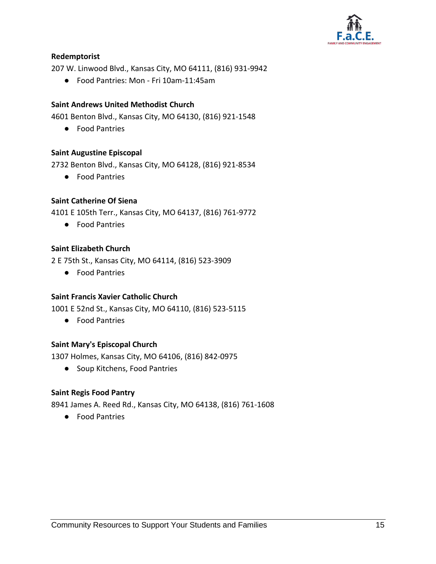

## **Redemptorist**

207 W. Linwood Blvd., Kansas City, MO 64111, (816) 931-9942

● Food Pantries: Mon - Fri 10am-11:45am

## **Saint Andrews United Methodist Church**

4601 Benton Blvd., Kansas City, MO 64130, (816) 921-1548

● Food Pantries

#### **Saint Augustine Episcopal**

2732 Benton Blvd., Kansas City, MO 64128, (816) 921-8534

● Food Pantries

#### **Saint Catherine Of Siena**

4101 E 105th Terr., Kansas City, MO 64137, (816) 761-9772

● Food Pantries

## **Saint Elizabeth Church**

2 E 75th St., Kansas City, MO 64114, (816) 523-3909

● Food Pantries

#### **Saint Francis Xavier Catholic Church**

1001 E 52nd St., Kansas City, MO 64110, (816) 523-5115

● Food Pantries

#### **Saint Mary's Episcopal Church**

1307 Holmes, Kansas City, MO 64106, (816) 842-0975

● Soup Kitchens, Food Pantries

#### **Saint Regis Food Pantry**

8941 James A. Reed Rd., Kansas City, MO 64138, (816) 761-1608

● Food Pantries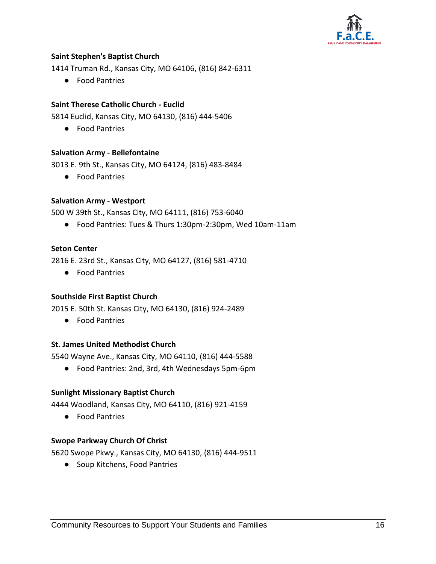

## **Saint Stephen's Baptist Church**

1414 Truman Rd., Kansas City, MO 64106, (816) 842-6311

● Food Pantries

## **Saint Therese Catholic Church - Euclid**

5814 Euclid, Kansas City, MO 64130, (816) 444-5406

● Food Pantries

#### **Salvation Army - Bellefontaine**

3013 E. 9th St., Kansas City, MO 64124, (816) 483-8484

● Food Pantries

#### **Salvation Army - Westport**

500 W 39th St., Kansas City, MO 64111, (816) 753-6040

● Food Pantries: Tues & Thurs 1:30pm-2:30pm, Wed 10am-11am

#### **Seton Center**

2816 E. 23rd St., Kansas City, MO 64127, (816) 581-4710

● Food Pantries

#### **Southside First Baptist Church**

2015 E. 50th St. Kansas City, MO 64130, (816) 924-2489

● Food Pantries

#### **St. James United Methodist Church**

5540 Wayne Ave., Kansas City, MO 64110, (816) 444-5588

● Food Pantries: 2nd, 3rd, 4th Wednesdays 5pm-6pm

#### **Sunlight Missionary Baptist Church**

4444 Woodland, Kansas City, MO 64110, (816) 921-4159

● Food Pantries

#### **Swope Parkway Church Of Christ**

5620 Swope Pkwy., Kansas City, MO 64130, (816) 444-9511

● Soup Kitchens, Food Pantries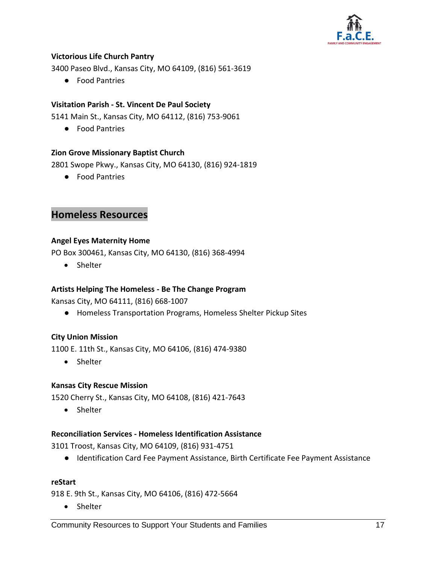

## **Victorious Life Church Pantry**

3400 Paseo Blvd., Kansas City, MO 64109, (816) 561-3619

● Food Pantries

## **Visitation Parish - St. Vincent De Paul Society**

5141 Main St., Kansas City, MO 64112, (816) 753-9061

● Food Pantries

## **Zion Grove Missionary Baptist Church**

2801 Swope Pkwy., Kansas City, MO 64130, (816) 924-1819

● Food Pantries

# **Homeless Resources**

## **Angel Eyes Maternity Home**

PO Box 300461, Kansas City, MO 64130, (816) 368-4994

• Shelter

## **Artists Helping The Homeless - Be The Change Program**

Kansas City, MO 64111, (816) 668-1007

● Homeless Transportation Programs, Homeless Shelter Pickup Sites

## **City Union Mission**

1100 E. 11th St., Kansas City, MO 64106, (816) 474-9380

Shelter

## **Kansas City Rescue Mission**

1520 Cherry St., Kansas City, MO 64108, (816) 421-7643

• Shelter

#### **Reconciliation Services - Homeless Identification Assistance**

3101 Troost, Kansas City, MO 64109, (816) 931-4751

● Identification Card Fee Payment Assistance, Birth Certificate Fee Payment Assistance

#### **reStart**

918 E. 9th St., Kansas City, MO 64106, (816) 472-5664

• Shelter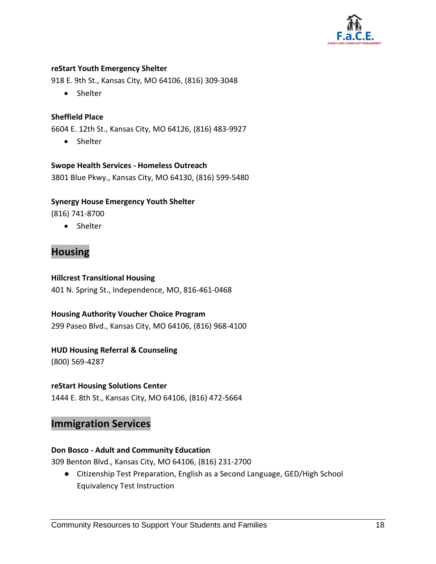

#### **reStart Youth Emergency Shelter**

918 E. 9th St., Kansas City, MO 64106, (816) 309-3048

• Shelter

## **Sheffield Place**

6604 E. 12th St., Kansas City, MO 64126, (816) 483-9927

Shelter

#### **Swope Health Services - Homeless Outreach**

3801 Blue Pkwy., Kansas City, MO 64130, (816) 599-5480

## **Synergy House Emergency Youth Shelter**

(816) 741-8700

Shelter

# **Housing**

#### **Hillcrest Transitional Housing**

401 N. Spring St., Independence, MO, 816-461-0468

## **Housing Authority Voucher Choice Program** 299 Paseo Blvd., Kansas City, MO 64106, (816) 968-4100

## **HUD Housing Referral & Counseling**

(800) 569-4287

## **reStart Housing Solutions Center**

1444 E. 8th St., Kansas City, MO 64106, (816) 472-5664

## **Immigration Services**

#### **Don Bosco - Adult and Community Education**

309 Benton Blvd., Kansas City, MO 64106, (816) 231-2700

● Citizenship Test Preparation, English as a Second Language, GED/High School Equivalency Test Instruction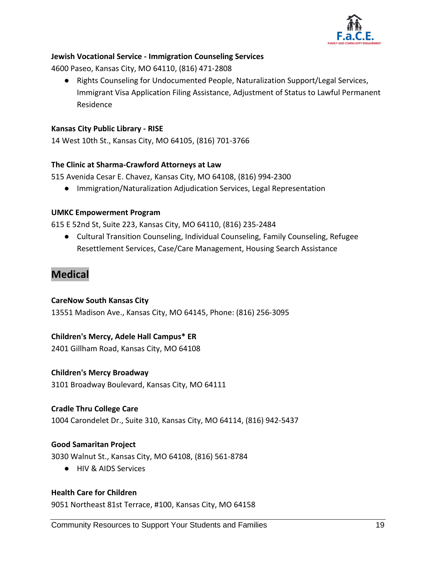

## **Jewish Vocational Service - Immigration Counseling Services**

4600 Paseo, Kansas City, MO 64110, (816) 471-2808

● Rights Counseling for Undocumented People, Naturalization Support/Legal Services, Immigrant Visa Application Filing Assistance, Adjustment of Status to Lawful Permanent Residence

## **Kansas City Public Library - RISE**

14 West 10th St., Kansas City, MO 64105, (816) 701-3766

#### **The Clinic at Sharma-Crawford Attorneys at Law**

515 Avenida Cesar E. Chavez, Kansas City, MO 64108, (816) 994-2300

● Immigration/Naturalization Adjudication Services, Legal Representation

#### **UMKC Empowerment Program**

615 E 52nd St, Suite 223, Kansas City, MO 64110, (816) 235-2484

● Cultural Transition Counseling, Individual Counseling, Family Counseling, Refugee Resettlement Services, Case/Care Management, Housing Search Assistance

# **Medical**

#### **CareNow South Kansas City**

13551 Madison Ave., Kansas City, MO 64145, Phone: (816) 256-3095

## **Children's Mercy, Adele Hall Campus\* ER**

2401 Gillham Road, Kansas City, MO 64108

#### **Children's Mercy Broadway**

3101 Broadway Boulevard, Kansas City, MO 64111

#### **Cradle Thru College Care**

1004 Carondelet Dr., Suite 310, Kansas City, MO 64114, (816) 942-5437

#### **Good Samaritan Project**

3030 Walnut St., Kansas City, MO 64108, (816) 561-8784

● HIV & AIDS Services

#### **Health Care for Children**

9051 Northeast 81st Terrace, #100, Kansas City, MO 64158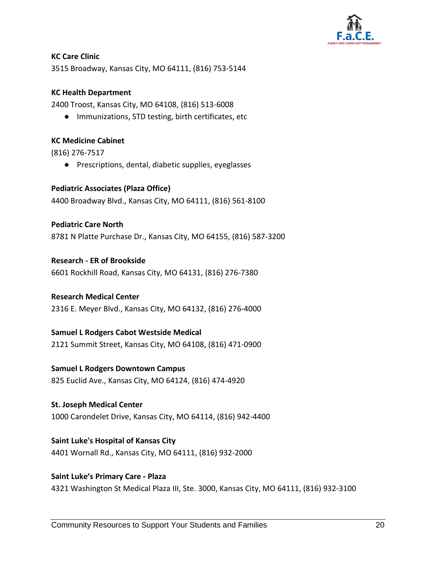

## **KC Care Clinic**

3515 Broadway, Kansas City, MO 64111, (816) 753-5144

## **KC Health Department**

2400 Troost, Kansas City, MO 64108, (816) 513-6008

● Immunizations, STD testing, birth certificates, etc

#### **KC Medicine Cabinet**

(816) 276-7517

● Prescriptions, dental, diabetic supplies, eyeglasses

## **Pediatric Associates (Plaza Office)**

4400 Broadway Blvd., Kansas City, MO 64111, (816) 561-8100

## **Pediatric Care North**

8781 N Platte Purchase Dr., Kansas City, MO 64155, (816) 587-3200

## **Research - ER of Brookside**

6601 Rockhill Road, Kansas City, MO 64131, (816) 276-7380

## **Research Medical Center**

2316 E. Meyer Blvd., Kansas City, MO 64132, (816) 276-4000

## **Samuel L Rodgers Cabot Westside Medical**

2121 Summit Street, Kansas City, MO 64108, (816) 471-0900

## **Samuel L Rodgers Downtown Campus**

825 Euclid Ave., Kansas City, MO 64124, (816) 474-4920

## **St. Joseph Medical Center**

1000 Carondelet Drive, Kansas City, MO 64114, (816) 942-4400

## **Saint Luke's Hospital of Kansas City**

4401 Wornall Rd., Kansas City, MO 64111, (816) 932-2000

## **Saint Luke's Primary Care - Plaza**

4321 Washington St Medical Plaza III, Ste. 3000, Kansas City, MO 64111, (816) 932-3100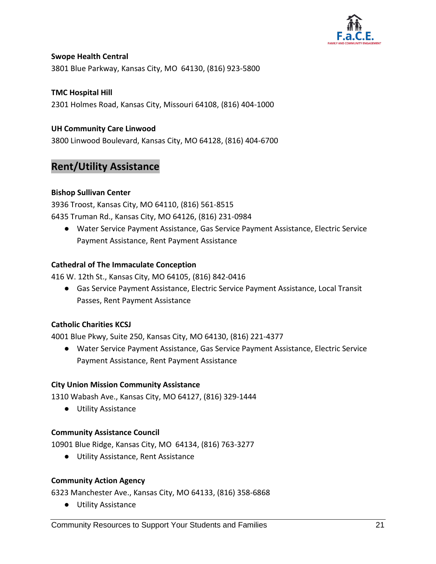

## **Swope Health Central**

3801 Blue Parkway, Kansas City, MO 64130, (816) 923-5800

## **TMC Hospital Hill**

2301 Holmes Road, Kansas City, Missouri 64108, (816) 404-1000

## **UH Community Care Linwood**

3800 Linwood Boulevard, Kansas City, MO 64128, (816) 404-6700

## **Rent/Utility Assistance**

## **Bishop Sullivan Center**

3936 Troost, Kansas City, MO 64110, (816) 561-8515 6435 Truman Rd., Kansas City, MO 64126, (816) 231-0984

● Water Service Payment Assistance, Gas Service Payment Assistance, Electric Service Payment Assistance, Rent Payment Assistance

## **Cathedral of The Immaculate Conception**

416 W. 12th St., Kansas City, MO 64105, (816) 842-0416

● Gas Service Payment Assistance, Electric Service Payment Assistance, Local Transit Passes, Rent Payment Assistance

## **Catholic Charities KCSJ**

4001 Blue Pkwy, Suite 250, Kansas City, MO 64130, (816) 221-4377

● Water Service Payment Assistance, Gas Service Payment Assistance, Electric Service Payment Assistance, Rent Payment Assistance

#### **City Union Mission Community Assistance**

1310 Wabash Ave., Kansas City, MO 64127, (816) 329-1444

● Utility Assistance

#### **Community Assistance Council**

10901 Blue Ridge, Kansas City, MO 64134, (816) 763-3277

● Utility Assistance, Rent Assistance

#### **Community Action Agency**

6323 Manchester Ave., Kansas City, MO 64133, (816) 358-6868

● Utility Assistance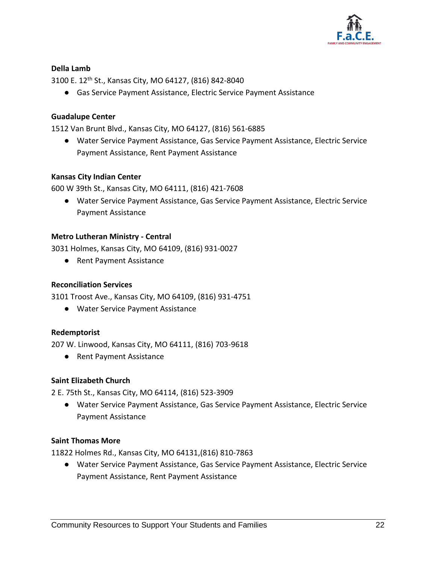

#### **Della Lamb**

3100 E. 12th St., Kansas City, MO 64127, (816) 842-8040

● Gas Service Payment Assistance, Electric Service Payment Assistance

#### **Guadalupe Center**

1512 Van Brunt Blvd., Kansas City, MO 64127, (816) 561-6885

● Water Service Payment Assistance, Gas Service Payment Assistance, Electric Service Payment Assistance, Rent Payment Assistance

#### **Kansas City Indian Center**

600 W 39th St., Kansas City, MO 64111, (816) 421-7608

● Water Service Payment Assistance, Gas Service Payment Assistance, Electric Service Payment Assistance

#### **Metro Lutheran Ministry - Central**

3031 Holmes, Kansas City, MO 64109, (816) 931-0027

● Rent Payment Assistance

#### **Reconciliation Services**

3101 Troost Ave., Kansas City, MO 64109, (816) 931-4751

● Water Service Payment Assistance

#### **Redemptorist**

207 W. Linwood, Kansas City, MO 64111, (816) 703-9618

● Rent Payment Assistance

#### **Saint Elizabeth Church**

2 E. 75th St., Kansas City, MO 64114, (816) 523-3909

● Water Service Payment Assistance, Gas Service Payment Assistance, Electric Service Payment Assistance

#### **Saint Thomas More**

11822 Holmes Rd., Kansas City, MO 64131,(816) 810-7863

● Water Service Payment Assistance, Gas Service Payment Assistance, Electric Service Payment Assistance, Rent Payment Assistance